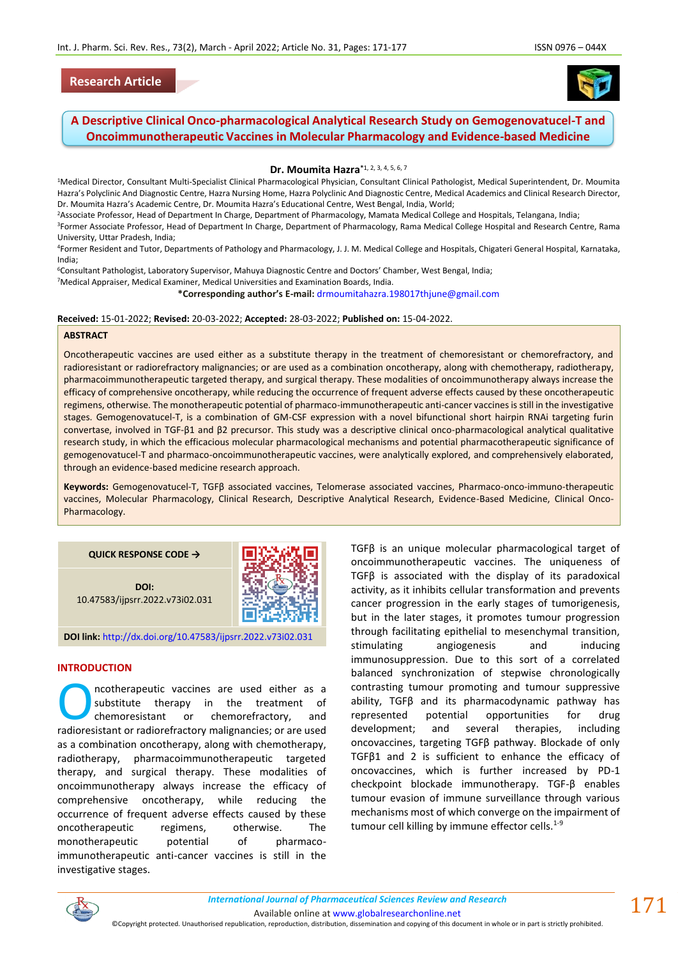## **Research Article**



# **A Descriptive Clinical Onco-pharmacological Analytical Research Study on Gemogenovatucel-T and Oncoimmunotherapeutic Vaccines in Molecular Pharmacology and Evidence-based Medicine**

**Dr. Moumita Hazra\***1, 2, 3, 4, 5, 6, 7

<sup>1</sup>Medical Director, Consultant Multi-Specialist Clinical Pharmacological Physician, Consultant Clinical Pathologist, Medical Superintendent, Dr. Moumita Hazra's Polyclinic And Diagnostic Centre, Hazra Nursing Home, Hazra Polyclinic And Diagnostic Centre, Medical Academics and Clinical Research Director, Dr. Moumita Hazra's Academic Centre, Dr. Moumita Hazra's Educational Centre, West Bengal, India, World;

<sup>2</sup>Associate Professor, Head of Department In Charge, Department of Pharmacology, Mamata Medical College and Hospitals, Telangana, India;

<sup>3</sup>Former Associate Professor, Head of Department In Charge, Department of Pharmacology, Rama Medical College Hospital and Research Centre, Rama University, Uttar Pradesh, India;

<sup>4</sup>Former Resident and Tutor, Departments of Pathology and Pharmacology, J. J. M. Medical College and Hospitals, Chigateri General Hospital, Karnataka, India;

<sup>6</sup>Consultant Pathologist, Laboratory Supervisor, Mahuya Diagnostic Centre and Doctors' Chamber, West Bengal, India;

<sup>7</sup>Medical Appraiser, Medical Examiner, Medical Universities and Examination Boards, India.

**\*Corresponding author's E-mail:** [drmoumitahazra.198017thjune@gmail.com](mailto:drmoumitahazra.198017thjune@gmail.com)

#### **Received:** 15-01-2022; **Revised:** 20-03-2022; **Accepted:** 28-03-2022; **Published on:** 15-04-2022.

#### **ABSTRACT**

Oncotherapeutic vaccines are used either as a substitute therapy in the treatment of chemoresistant or chemorefractory, and radioresistant or radiorefractory malignancies; or are used as a combination oncotherapy, along with chemotherapy, radiotherapy, pharmacoimmunotherapeutic targeted therapy, and surgical therapy. These modalities of oncoimmunotherapy always increase the efficacy of comprehensive oncotherapy, while reducing the occurrence of frequent adverse effects caused by these oncotherapeutic regimens, otherwise. The monotherapeutic potential of pharmaco-immunotherapeutic anti-cancer vaccines is still in the investigative stages. Gemogenovatucel-T, is a combination of GM-CSF expression with a novel bifunctional short hairpin RNAi targeting furin convertase, involved in TGF-β1 and β2 precursor. This study was a descriptive clinical onco-pharmacological analytical qualitative research study, in which the efficacious molecular pharmacological mechanisms and potential pharmacotherapeutic significance of gemogenovatucel-T and pharmaco-oncoimmunotherapeutic vaccines, were analytically explored, and comprehensively elaborated, through an evidence-based medicine research approach.

**Keywords:** Gemogenovatucel-T, TGFβ associated vaccines, Telomerase associated vaccines, Pharmaco-onco-immuno-therapeutic vaccines, Molecular Pharmacology, Clinical Research, Descriptive Analytical Research, Evidence-Based Medicine, Clinical Onco-Pharmacology.

#### **QUICK RESPONSE CODE →**

**DOI:** 10.47583/ijpsrr.2022.v73i02.031



**DOI link:** <http://dx.doi.org/10.47583/ijpsrr.2022.v73i02.031>

#### **INTRODUCTION**

ncotherapeutic vaccines are used either as a substitute therapy in the treatment of chemoresistant or chemorefractory, and **CONFIDENTIFY CONFIDENT** is a substitute therapy in the treatment of chemoresistant or chemorefractory, and radioresistant or radiorefractory malignancies; or are used as a combination oncotherapy, along with chemotherapy, radiotherapy, pharmacoimmunotherapeutic targeted therapy, and surgical therapy. These modalities of oncoimmunotherapy always increase the efficacy of comprehensive oncotherapy, while reducing the occurrence of frequent adverse effects caused by these oncotherapeutic regimens, otherwise. The monotherapeutic potential of pharmacoimmunotherapeutic anti-cancer vaccines is still in the investigative stages.

TGFβ is an unique molecular pharmacological target of oncoimmunotherapeutic vaccines. The uniqueness of TGFβ is associated with the display of its paradoxical activity, as it inhibits cellular transformation and prevents cancer progression in the early stages of tumorigenesis, but in the later stages, it promotes tumour progression through facilitating epithelial to mesenchymal transition, stimulating angiogenesis and inducing immunosuppression. Due to this sort of a correlated balanced synchronization of stepwise chronologically contrasting tumour promoting and tumour suppressive ability, TGFβ and its pharmacodynamic pathway has represented potential opportunities for drug development; and several therapies, including oncovaccines, targeting TGFβ pathway. Blockade of only TGFβ1 and 2 is sufficient to enhance the efficacy of oncovaccines, which is further increased by PD-1 checkpoint blockade immunotherapy. TGF-β enables tumour evasion of immune surveillance through various mechanisms most of which converge on the impairment of tumour cell killing by immune effector cells.<sup>1-9</sup>



*International Journal of Pharmaceutical Sciences Review and Research International Journal of Pharmaceutical Sciences Review and Research*

Available online a[t www.globalresearchonline.net](http://www.globalresearchonline.net/)

©Copyright protected. Unauthorised republication, reproduction, distribution, dissemination and copying of this document in whole or in part is strictly prohibited.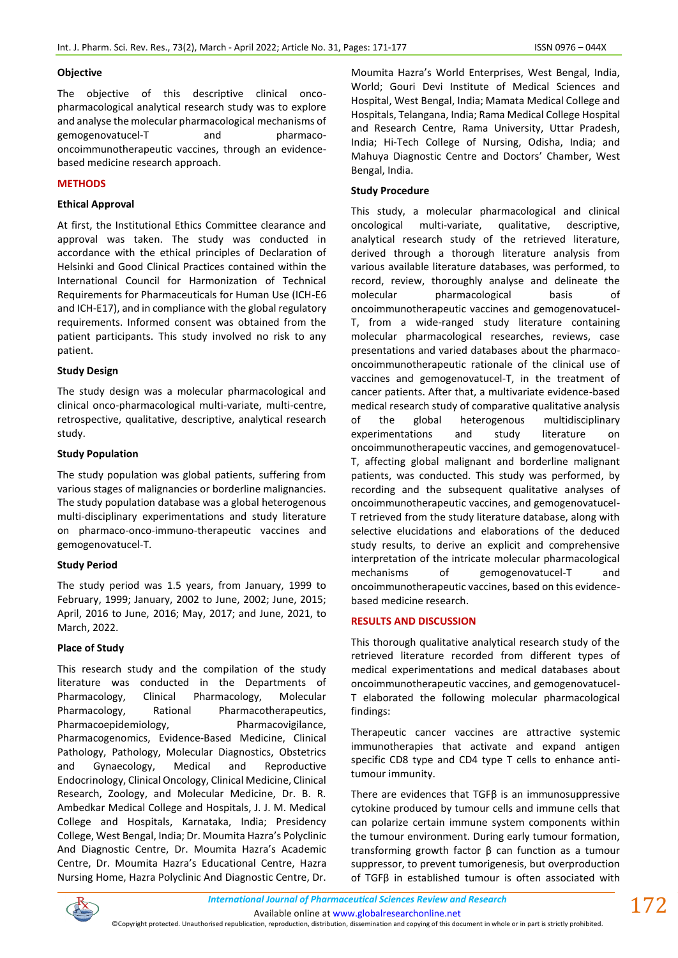### **Objective**

The objective of this descriptive clinical oncopharmacological analytical research study was to explore and analyse the molecular pharmacological mechanisms of gemogenovatucel-T and pharmacooncoimmunotherapeutic vaccines, through an evidencebased medicine research approach.

### **METHODS**

### **Ethical Approval**

At first, the Institutional Ethics Committee clearance and approval was taken. The study was conducted in accordance with the ethical principles of Declaration of Helsinki and Good Clinical Practices contained within the International Council for Harmonization of Technical Requirements for Pharmaceuticals for Human Use (ICH-E6 and ICH-E17), and in compliance with the global regulatory requirements. Informed consent was obtained from the patient participants. This study involved no risk to any patient.

### **Study Design**

The study design was a molecular pharmacological and clinical onco-pharmacological multi-variate, multi-centre, retrospective, qualitative, descriptive, analytical research study.

### **Study Population**

The study population was global patients, suffering from various stages of malignancies or borderline malignancies. The study population database was a global heterogenous multi-disciplinary experimentations and study literature on pharmaco-onco-immuno-therapeutic vaccines and gemogenovatucel-T.

### **Study Period**

The study period was 1.5 years, from January, 1999 to February, 1999; January, 2002 to June, 2002; June, 2015; April, 2016 to June, 2016; May, 2017; and June, 2021, to March, 2022.

### **Place of Study**

This research study and the compilation of the study literature was conducted in the Departments of Pharmacology, Clinical Pharmacology, Molecular Pharmacology, Rational Pharmacotherapeutics, Pharmacoepidemiology, Pharmacovigilance, Pharmacogenomics, Evidence-Based Medicine, Clinical Pathology, Pathology, Molecular Diagnostics, Obstetrics and Gynaecology, Medical and Reproductive Endocrinology, Clinical Oncology, Clinical Medicine, Clinical Research, Zoology, and Molecular Medicine, Dr. B. R. Ambedkar Medical College and Hospitals, J. J. M. Medical College and Hospitals, Karnataka, India; Presidency College, West Bengal, India; Dr. Moumita Hazra's Polyclinic And Diagnostic Centre, Dr. Moumita Hazra's Academic Centre, Dr. Moumita Hazra's Educational Centre, Hazra Nursing Home, Hazra Polyclinic And Diagnostic Centre, Dr.

Moumita Hazra's World Enterprises, West Bengal, India, World; Gouri Devi Institute of Medical Sciences and Hospital, West Bengal, India; Mamata Medical College and Hospitals, Telangana, India; Rama Medical College Hospital and Research Centre, Rama University, Uttar Pradesh, India; Hi-Tech College of Nursing, Odisha, India; and Mahuya Diagnostic Centre and Doctors' Chamber, West Bengal, India.

### **Study Procedure**

This study, a molecular pharmacological and clinical oncological multi-variate, qualitative, descriptive, analytical research study of the retrieved literature, derived through a thorough literature analysis from various available literature databases, was performed, to record, review, thoroughly analyse and delineate the molecular pharmacological basis of oncoimmunotherapeutic vaccines and gemogenovatucel-T, from a wide-ranged study literature containing molecular pharmacological researches, reviews, case presentations and varied databases about the pharmacooncoimmunotherapeutic rationale of the clinical use of vaccines and gemogenovatucel-T, in the treatment of cancer patients. After that, a multivariate evidence-based medical research study of comparative qualitative analysis of the global heterogenous multidisciplinary experimentations and study literature on oncoimmunotherapeutic vaccines, and gemogenovatucel-T, affecting global malignant and borderline malignant patients, was conducted. This study was performed, by recording and the subsequent qualitative analyses of oncoimmunotherapeutic vaccines, and gemogenovatucel-T retrieved from the study literature database, along with selective elucidations and elaborations of the deduced study results, to derive an explicit and comprehensive interpretation of the intricate molecular pharmacological mechanisms of gemogenovatucel-T and oncoimmunotherapeutic vaccines, based on this evidencebased medicine research.

### **RESULTS AND DISCUSSION**

This thorough qualitative analytical research study of the retrieved literature recorded from different types of medical experimentations and medical databases about oncoimmunotherapeutic vaccines, and gemogenovatucel-T elaborated the following molecular pharmacological findings:

Therapeutic cancer vaccines are attractive systemic immunotherapies that activate and expand antigen specific CD8 type and CD4 type T cells to enhance antitumour immunity.

There are evidences that TGFβ is an immunosuppressive cytokine produced by tumour cells and immune cells that can polarize certain immune system components within the tumour environment. During early tumour formation, transforming growth factor β can function as a tumour suppressor, to prevent tumorigenesis, but overproduction of TGFβ in established tumour is often associated with



©Copyright protected. Unauthorised republication, reproduction, distribution, dissemination and copying of this document in whole or in part is strictly prohibited.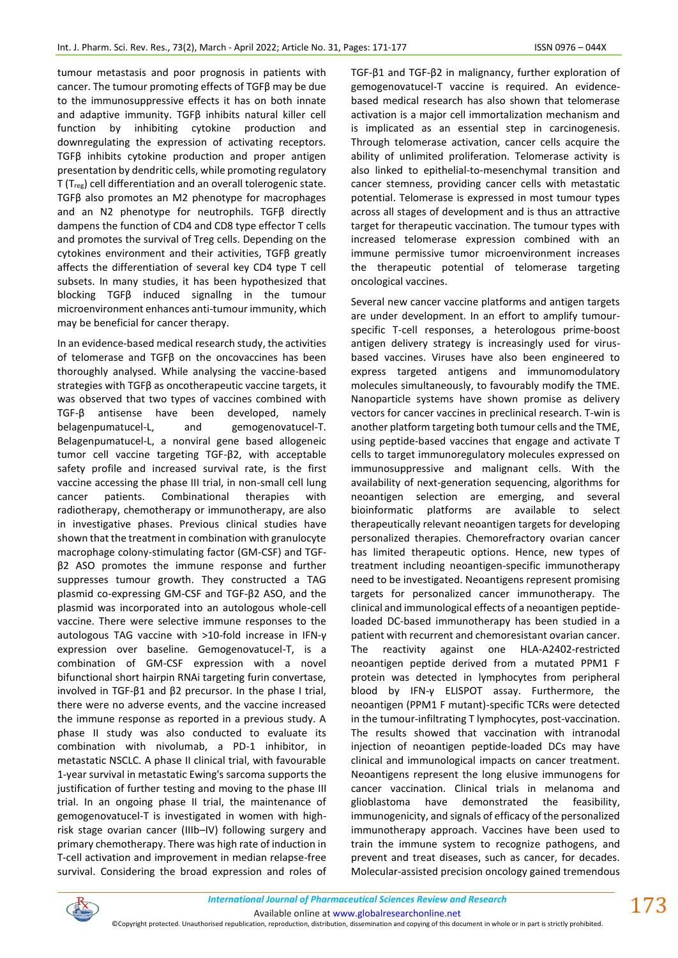tumour metastasis and poor prognosis in patients with cancer. The tumour promoting effects of TGFβ may be due to the immunosuppressive effects it has on both innate and adaptive immunity. TGFβ inhibits natural killer cell function by inhibiting cytokine production and downregulating the expression of activating receptors. TGFβ inhibits cytokine production and proper antigen presentation by dendritic cells, while promoting regulatory T (Treg) cell differentiation and an overall tolerogenic state. TGFβ also promotes an M2 phenotype for macrophages and an N2 phenotype for neutrophils. TGFβ directly dampens the function of CD4 and CD8 type effector T cells and promotes the survival of Treg cells. Depending on the cytokines environment and their activities, TGFβ greatly affects the differentiation of several key CD4 type T cell subsets. In many studies, it has been hypothesized that blocking TGFβ induced signallng in the tumour microenvironment enhances anti-tumour immunity, which may be beneficial for cancer therapy.

In an evidence-based medical research study, the activities of telomerase and TGFβ on the oncovaccines has been thoroughly analysed. While analysing the vaccine-based strategies with TGFβ as oncotherapeutic vaccine targets, it was observed that two types of vaccines combined with TGF-β antisense have been developed, namely belagenpumatucel-L, and gemogenovatucel-T. Belagenpumatucel-L, a nonviral gene based allogeneic tumor cell vaccine targeting TGF-β2, with acceptable safety profile and increased survival rate, is the first vaccine accessing the phase III trial, in non-small cell lung cancer patients. Combinational therapies with radiotherapy, chemotherapy or immunotherapy, are also in investigative phases. Previous clinical studies have shown that the treatment in combination with granulocyte macrophage colony-stimulating factor (GM-CSF) and TGFβ2 ASO promotes the immune response and further suppresses tumour growth. They constructed a TAG plasmid co-expressing GM-CSF and TGF-β2 ASO, and the plasmid was incorporated into an autologous whole-cell vaccine. There were selective immune responses to the autologous TAG vaccine with >10-fold increase in IFN-γ expression over baseline. Gemogenovatucel-T, is a combination of GM-CSF expression with a novel bifunctional short hairpin RNAi targeting furin convertase, involved in TGF-β1 and β2 precursor. In the phase I trial, there were no adverse events, and the vaccine increased the immune response as reported in a previous study. A phase II study was also conducted to evaluate its combination with nivolumab, a PD-1 inhibitor, in metastatic NSCLC. A phase II clinical trial, with favourable 1-year survival in metastatic Ewing's sarcoma supports the justification of further testing and moving to the phase III trial. In an ongoing phase II trial, the maintenance of gemogenovatucel-T is investigated in women with highrisk stage ovarian cancer (IIIb–IV) following surgery and primary chemotherapy. There was high rate of induction in T-cell activation and improvement in median relapse-free survival. Considering the broad expression and roles of TGF-β1 and TGF-β2 in malignancy, further exploration of gemogenovatucel-T vaccine is required. An evidencebased medical research has also shown that telomerase activation is a major cell immortalization mechanism and is implicated as an essential step in carcinogenesis. Through telomerase activation, cancer cells acquire the ability of unlimited proliferation. Telomerase activity is also linked to epithelial-to-mesenchymal transition and cancer stemness, providing cancer cells with metastatic potential. Telomerase is expressed in most tumour types across all stages of development and is thus an attractive target for therapeutic vaccination. The tumour types with increased telomerase expression combined with an immune permissive tumor microenvironment increases the therapeutic potential of telomerase targeting oncological vaccines.

Several new cancer vaccine platforms and antigen targets are under development. In an effort to amplify tumourspecific T-cell responses, a heterologous prime-boost antigen delivery strategy is increasingly used for virusbased vaccines. Viruses have also been engineered to express targeted antigens and immunomodulatory molecules simultaneously, to favourably modify the TME. Nanoparticle systems have shown promise as delivery vectors for cancer vaccines in preclinical research. T-win is another platform targeting both tumour cells and the TME, using peptide-based vaccines that engage and activate T cells to target immunoregulatory molecules expressed on immunosuppressive and malignant cells. With the availability of next-generation sequencing, algorithms for neoantigen selection are emerging, and several bioinformatic platforms are available to select therapeutically relevant neoantigen targets for developing personalized therapies. Chemorefractory ovarian cancer has limited therapeutic options. Hence, new types of treatment including neoantigen-specific immunotherapy need to be investigated. Neoantigens represent promising targets for personalized cancer immunotherapy. The clinical and immunological effects of a neoantigen peptideloaded DC-based immunotherapy has been studied in a patient with recurrent and chemoresistant ovarian cancer. The reactivity against one HLA-A2402-restricted neoantigen peptide derived from a mutated PPM1 F protein was detected in lymphocytes from peripheral blood by IFN-γ ELISPOT assay. Furthermore, the neoantigen (PPM1 F mutant)-specific TCRs were detected in the tumour-infiltrating T lymphocytes, post-vaccination. The results showed that vaccination with intranodal injection of neoantigen peptide-loaded DCs may have clinical and immunological impacts on cancer treatment. Neoantigens represent the long elusive immunogens for cancer vaccination. Clinical trials in melanoma and glioblastoma have demonstrated the feasibility, immunogenicity, and signals of efficacy of the personalized immunotherapy approach. Vaccines have been used to train the immune system to recognize pathogens, and prevent and treat diseases, such as cancer, for decades. Molecular-assisted precision oncology gained tremendous



Available online a[t www.globalresearchonline.net](http://www.globalresearchonline.net/)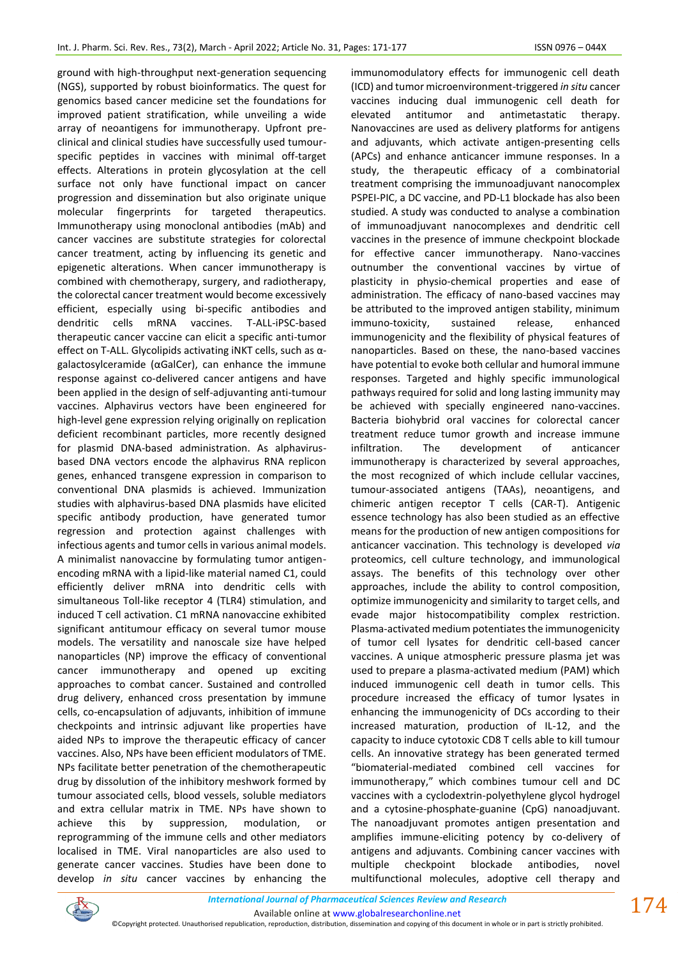ground with high-throughput next-generation sequencing (NGS), supported by robust bioinformatics. The quest for genomics based cancer medicine set the foundations for improved patient stratification, while unveiling a wide array of neoantigens for immunotherapy. Upfront preclinical and clinical studies have successfully used tumourspecific peptides in vaccines with minimal off-target effects. Alterations in protein glycosylation at the cell surface not only have functional impact on cancer progression and dissemination but also originate unique molecular fingerprints for targeted therapeutics. Immunotherapy using monoclonal antibodies (mAb) and cancer vaccines are substitute strategies for colorectal cancer treatment, acting by influencing its genetic and epigenetic alterations. When cancer immunotherapy is combined with chemotherapy, surgery, and radiotherapy, the colorectal cancer treatment would become excessively efficient, especially using bi-specific antibodies and dendritic cells mRNA vaccines. T-ALL-iPSC-based therapeutic cancer vaccine can elicit a specific anti-tumor effect on T-ALL. Glycolipids activating iNKT cells, such as αgalactosylceramide (αGalCer), can enhance the immune response against co-delivered cancer antigens and have been applied in the design of self-adjuvanting anti-tumour vaccines. Alphavirus vectors have been engineered for high-level gene expression relying originally on replication deficient recombinant particles, more recently designed for plasmid DNA-based administration. As alphavirusbased DNA vectors encode the alphavirus RNA replicon genes, enhanced transgene expression in comparison to conventional DNA plasmids is achieved. Immunization studies with alphavirus-based DNA plasmids have elicited specific antibody production, have generated tumor regression and protection against challenges with infectious agents and tumor cells in various animal models. A minimalist nanovaccine by formulating tumor antigenencoding mRNA with a lipid-like material named C1, could efficiently deliver mRNA into dendritic cells with simultaneous Toll-like receptor 4 (TLR4) stimulation, and induced T cell activation. C1 mRNA nanovaccine exhibited significant antitumour efficacy on several tumor mouse models. The versatility and nanoscale size have helped nanoparticles (NP) improve the efficacy of conventional cancer immunotherapy and opened up exciting approaches to combat cancer. Sustained and controlled drug delivery, enhanced cross presentation by immune cells, co-encapsulation of adjuvants, inhibition of immune checkpoints and intrinsic adjuvant like properties have aided NPs to improve the therapeutic efficacy of cancer vaccines. Also, NPs have been efficient modulators of TME. NPs facilitate better penetration of the chemotherapeutic drug by dissolution of the inhibitory meshwork formed by tumour associated cells, blood vessels, soluble mediators and extra cellular matrix in TME. NPs have shown to achieve this by suppression, modulation, or reprogramming of the immune cells and other mediators localised in TME. Viral nanoparticles are also used to generate cancer vaccines. Studies have been done to develop *in situ* cancer vaccines by enhancing the immunomodulatory effects for immunogenic cell death (ICD) and tumor microenvironment-triggered *in situ* cancer vaccines inducing dual immunogenic cell death for elevated antitumor and antimetastatic therapy. Nanovaccines are used as delivery platforms for antigens and adjuvants, which activate antigen-presenting cells (APCs) and enhance anticancer immune responses. In a study, the therapeutic efficacy of a combinatorial treatment comprising the immunoadjuvant nanocomplex PSPEI-PIC, a DC vaccine, and PD-L1 blockade has also been studied. A study was conducted to analyse a combination of immunoadjuvant nanocomplexes and dendritic cell vaccines in the presence of immune checkpoint blockade for effective cancer immunotherapy. Nano-vaccines outnumber the conventional vaccines by virtue of plasticity in physio-chemical properties and ease of administration. The efficacy of nano-based vaccines may be attributed to the improved antigen stability, minimum immuno-toxicity, sustained release, enhanced immunogenicity and the flexibility of physical features of nanoparticles. Based on these, the nano-based vaccines have potential to evoke both cellular and humoral immune responses. Targeted and highly specific immunological pathways required for solid and long lasting immunity may be achieved with specially engineered nano-vaccines. Bacteria biohybrid oral vaccines for colorectal cancer treatment reduce tumor growth and increase immune infiltration. The development of anticancer immunotherapy is characterized by several approaches, the most recognized of which include cellular vaccines, tumour-associated antigens (TAAs), neoantigens, and chimeric antigen receptor T cells (CAR-T). Antigenic essence technology has also been studied as an effective means for the production of new antigen compositions for anticancer vaccination. This technology is developed *via* proteomics, cell culture technology, and immunological assays. The benefits of this technology over other approaches, include the ability to control composition, optimize immunogenicity and similarity to target cells, and evade major histocompatibility complex restriction. Plasma-activated medium potentiates the immunogenicity of tumor cell lysates for dendritic cell-based cancer vaccines. A unique atmospheric pressure plasma jet was used to prepare a plasma-activated medium (PAM) which induced immunogenic cell death in tumor cells. This procedure increased the efficacy of tumor lysates in enhancing the immunogenicity of DCs according to their increased maturation, production of IL-12, and the capacity to induce cytotoxic CD8 T cells able to kill tumour cells. An innovative strategy has been generated termed "biomaterial-mediated combined cell vaccines for immunotherapy," which combines tumour cell and DC vaccines with a cyclodextrin-polyethylene glycol hydrogel and a cytosine-phosphate-guanine (CpG) nanoadjuvant. The nanoadjuvant promotes antigen presentation and amplifies immune-eliciting potency by co-delivery of antigens and adjuvants. Combining cancer vaccines with multiple checkpoint blockade antibodies, novel multifunctional molecules, adoptive cell therapy and



Available online a[t www.globalresearchonline.net](http://www.globalresearchonline.net/)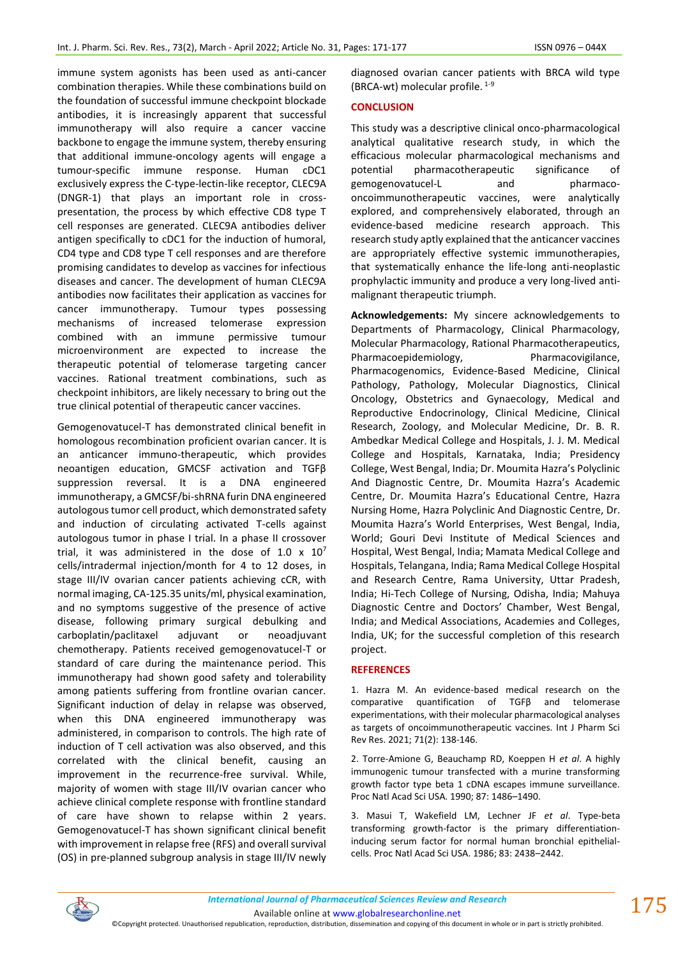immune system agonists has been used as anti-cancer combination therapies. While these combinations build on the foundation of successful immune checkpoint blockade antibodies, it is increasingly apparent that successful immunotherapy will also require a cancer vaccine backbone to engage the immune system, thereby ensuring that additional immune-oncology agents will engage a tumour-specific immune response. Human cDC1 exclusively express the C-type-lectin-like receptor, CLEC9A (DNGR-1) that plays an important role in crosspresentation, the process by which effective CD8 type T cell responses are generated. CLEC9A antibodies deliver antigen specifically to cDC1 for the induction of humoral, CD4 type and CD8 type T cell responses and are therefore promising candidates to develop as vaccines for infectious diseases and cancer. The development of human CLEC9A antibodies now facilitates their application as vaccines for cancer immunotherapy. Tumour types possessing mechanisms of increased telomerase expression combined with an immune permissive tumour microenvironment are expected to increase the therapeutic potential of telomerase targeting cancer vaccines. Rational treatment combinations, such as checkpoint inhibitors, are likely necessary to bring out the true clinical potential of therapeutic cancer vaccines.

Gemogenovatucel-T has demonstrated clinical benefit in homologous recombination proficient ovarian cancer. It is an anticancer immuno-therapeutic, which provides neoantigen education, GMCSF activation and TGFβ suppression reversal. It is a DNA engineered immunotherapy, a GMCSF/bi-shRNA furin DNA engineered autologous tumor cell product, which demonstrated safety and induction of circulating activated T-cells against autologous tumor in phase I trial. In a phase II crossover trial, it was administered in the dose of 1.0  $\times$  10<sup>7</sup> cells/intradermal injection/month for 4 to 12 doses, in stage III/IV ovarian cancer patients achieving cCR, with normal imaging, CA-125.35 units/ml, physical examination, and no symptoms suggestive of the presence of active disease, following primary surgical debulking and carboplatin/paclitaxel adjuvant or neoadjuvant chemotherapy. Patients received gemogenovatucel-T or standard of care during the maintenance period. This immunotherapy had shown good safety and tolerability among patients suffering from frontline ovarian cancer. Significant induction of delay in relapse was observed, when this DNA engineered immunotherapy was administered, in comparison to controls. The high rate of induction of T cell activation was also observed, and this correlated with the clinical benefit, causing an improvement in the recurrence-free survival. While, majority of women with stage III/IV ovarian cancer who achieve clinical complete response with frontline standard of care have shown to relapse within 2 years. Gemogenovatucel-T has shown significant clinical benefit with improvement in relapse free (RFS) and overall survival (OS) in pre-planned subgroup analysis in stage III/IV newly

diagnosed ovarian cancer patients with BRCA wild type (BRCA-wt) molecular profile. 1-9

#### **CONCLUSION**

This study was a descriptive clinical onco-pharmacological analytical qualitative research study, in which the efficacious molecular pharmacological mechanisms and potential pharmacotherapeutic significance of gemogenovatucel-L and pharmacooncoimmunotherapeutic vaccines, were analytically explored, and comprehensively elaborated, through an evidence-based medicine research approach. This research study aptly explained that the anticancer vaccines are appropriately effective systemic immunotherapies, that systematically enhance the life-long anti-neoplastic prophylactic immunity and produce a very long-lived antimalignant therapeutic triumph.

**Acknowledgements:** My sincere acknowledgements to Departments of Pharmacology, Clinical Pharmacology, Molecular Pharmacology, Rational Pharmacotherapeutics, Pharmacoepidemiology, Pharmacovigilance, Pharmacogenomics, Evidence-Based Medicine, Clinical Pathology, Pathology, Molecular Diagnostics, Clinical Oncology, Obstetrics and Gynaecology, Medical and Reproductive Endocrinology, Clinical Medicine, Clinical Research, Zoology, and Molecular Medicine, Dr. B. R. Ambedkar Medical College and Hospitals, J. J. M. Medical College and Hospitals, Karnataka, India; Presidency College, West Bengal, India; Dr. Moumita Hazra's Polyclinic And Diagnostic Centre, Dr. Moumita Hazra's Academic Centre, Dr. Moumita Hazra's Educational Centre, Hazra Nursing Home, Hazra Polyclinic And Diagnostic Centre, Dr. Moumita Hazra's World Enterprises, West Bengal, India, World; Gouri Devi Institute of Medical Sciences and Hospital, West Bengal, India; Mamata Medical College and Hospitals, Telangana, India; Rama Medical College Hospital and Research Centre, Rama University, Uttar Pradesh, India; Hi-Tech College of Nursing, Odisha, India; Mahuya Diagnostic Centre and Doctors' Chamber, West Bengal, India; and Medical Associations, Academies and Colleges, India, UK; for the successful completion of this research project.

#### **REFERENCES**

1. Hazra M. An evidence-based medical research on the comparative quantification of TGFβ and telomerase experimentations, with their molecular pharmacological analyses as targets of oncoimmunotherapeutic vaccines. Int J Pharm Sci Rev Res. 2021; 71(2): 138-146.

2. Torre-Amione G, Beauchamp RD, Koeppen H *et al*. A highly immunogenic tumour transfected with a murine transforming growth factor type beta 1 cDNA escapes immune surveillance. Proc Natl Acad Sci USA. 1990; 87: 1486–1490.

3. Masui T, Wakefield LM, Lechner JF *et al*. Type-beta transforming growth-factor is the primary differentiationinducing serum factor for normal human bronchial epithelialcells. Proc Natl Acad Sci USA. 1986; 83: 2438–2442.



Available online a[t www.globalresearchonline.net](http://www.globalresearchonline.net/)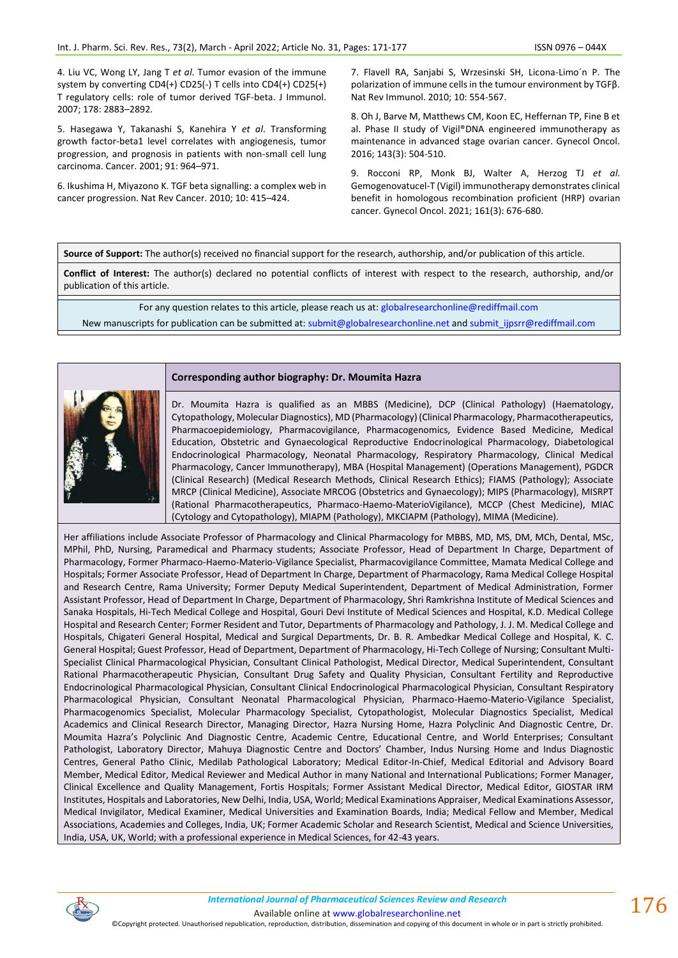4. Liu VC, Wong LY, Jang T *et al*. Tumor evasion of the immune system by converting CD4(+) CD25(-) T cells into CD4(+) CD25(+) T regulatory cells: role of tumor derived TGF-beta. J Immunol. 2007; 178: 2883–2892.

5. Hasegawa Y, Takanashi S, Kanehira Y *et al*. Transforming growth factor-beta1 level correlates with angiogenesis, tumor progression, and prognosis in patients with non-small cell lung carcinoma. Cancer. 2001; 91: 964–971.

6. Ikushima H, Miyazono K. TGF beta signalling: a complex web in cancer progression. Nat Rev Cancer. 2010; 10: 415–424.

7. Flavell RA, Sanjabi S, Wrzesinski SH, Licona-Limo´n P. The polarization of immune cells in the tumour environment by TGFβ. Nat Rev Immunol. 2010; 10: 554-567.

8. Oh J, Barve M, Matthews CM, Koon EC, Heffernan TP, Fine B et al. Phase II study of Vigil®DNA engineered immunotherapy as maintenance in advanced stage ovarian cancer. Gynecol Oncol. 2016; 143(3): 504-510.

9. Rocconi RP, Monk BJ, Walter A, Herzog TJ *et al*. Gemogenovatucel-T (Vigil) immunotherapy demonstrates clinical benefit in homologous recombination proficient (HRP) ovarian cancer. Gynecol Oncol. 2021; 161(3): 676-680.

**Source of Support:** The author(s) received no financial support for the research, authorship, and/or publication of this article.

**Conflict of Interest:** The author(s) declared no potential conflicts of interest with respect to the research, authorship, and/or publication of this article.

For any question relates to this article, please reach us at: [globalresearchonline@](mailto:editor@globalresearchonline.net)rediffmail.com

New manuscripts for publication can be submitted at: [submit@globalresearchonline.net](mailto:submit@globalresearchonline.net) and [submit\\_ijpsrr@rediffmail.com](mailto:submit_ijpsrr@rediffmail.com)



#### **Corresponding author biography: Dr. Moumita Hazra**

Dr. Moumita Hazra is qualified as an MBBS (Medicine), DCP (Clinical Pathology) (Haematology, Cytopathology, Molecular Diagnostics), MD (Pharmacology) (Clinical Pharmacology, Pharmacotherapeutics, Pharmacoepidemiology, Pharmacovigilance, Pharmacogenomics, Evidence Based Medicine, Medical Education, Obstetric and Gynaecological Reproductive Endocrinological Pharmacology, Diabetological Endocrinological Pharmacology, Neonatal Pharmacology, Respiratory Pharmacology, Clinical Medical Pharmacology, Cancer Immunotherapy), MBA (Hospital Management) (Operations Management), PGDCR (Clinical Research) (Medical Research Methods, Clinical Research Ethics); FIAMS (Pathology); Associate MRCP (Clinical Medicine), Associate MRCOG (Obstetrics and Gynaecology); MIPS (Pharmacology), MISRPT (Rational Pharmacotherapeutics, Pharmaco-Haemo-MaterioVigilance), MCCP (Chest Medicine), MIAC (Cytology and Cytopathology), MIAPM (Pathology), MKCIAPM (Pathology), MIMA (Medicine).

Her affiliations include Associate Professor of Pharmacology and Clinical Pharmacology for MBBS, MD, MS, DM, MCh, Dental, MSc, MPhil, PhD, Nursing, Paramedical and Pharmacy students; Associate Professor, Head of Department In Charge, Department of Pharmacology, Former Pharmaco-Haemo-Materio-Vigilance Specialist, Pharmacovigilance Committee, Mamata Medical College and Hospitals; Former Associate Professor, Head of Department In Charge, Department of Pharmacology, Rama Medical College Hospital and Research Centre, Rama University; Former Deputy Medical Superintendent, Department of Medical Administration, Former Assistant Professor, Head of Department In Charge, Department of Pharmacology, Shri Ramkrishna Institute of Medical Sciences and Sanaka Hospitals, Hi-Tech Medical College and Hospital, Gouri Devi Institute of Medical Sciences and Hospital, K.D. Medical College Hospital and Research Center; Former Resident and Tutor, Departments of Pharmacology and Pathology, J. J. M. Medical College and Hospitals, Chigateri General Hospital, Medical and Surgical Departments, Dr. B. R. Ambedkar Medical College and Hospital, K. C. General Hospital; Guest Professor, Head of Department, Department of Pharmacology, Hi-Tech College of Nursing; Consultant Multi-Specialist Clinical Pharmacological Physician, Consultant Clinical Pathologist, Medical Director, Medical Superintendent, Consultant Rational Pharmacotherapeutic Physician, Consultant Drug Safety and Quality Physician, Consultant Fertility and Reproductive Endocrinological Pharmacological Physician, Consultant Clinical Endocrinological Pharmacological Physician, Consultant Respiratory Pharmacological Physician, Consultant Neonatal Pharmacological Physician, Pharmaco-Haemo-Materio-Vigilance Specialist, Pharmacogenomics Specialist, Molecular Pharmacology Specialist, Cytopathologist, Molecular Diagnostics Specialist, Medical Academics and Clinical Research Director, Managing Director, Hazra Nursing Home, Hazra Polyclinic And Diagnostic Centre, Dr. Moumita Hazra's Polyclinic And Diagnostic Centre, Academic Centre, Educational Centre, and World Enterprises; Consultant Pathologist, Laboratory Director, Mahuya Diagnostic Centre and Doctors' Chamber, Indus Nursing Home and Indus Diagnostic Centres, General Patho Clinic, Medilab Pathological Laboratory; Medical Editor-In-Chief, Medical Editorial and Advisory Board Member, Medical Editor, Medical Reviewer and Medical Author in many National and International Publications; Former Manager, Clinical Excellence and Quality Management, Fortis Hospitals; Former Assistant Medical Director, Medical Editor, GIOSTAR IRM Institutes, Hospitals and Laboratories, New Delhi, India, USA, World; Medical Examinations Appraiser, Medical Examinations Assessor, Medical Invigilator, Medical Examiner, Medical Universities and Examination Boards, India; Medical Fellow and Member, Medical Associations, Academies and Colleges, India, UK; Former Academic Scholar and Research Scientist, Medical and Science Universities, India, USA, UK, World; with a professional experience in Medical Sciences, for 42-43 years.



©Copyright protected. Unauthorised republication, reproduction, distribution, dissemination and copying of this document in whole or in part is strictly prohibited.